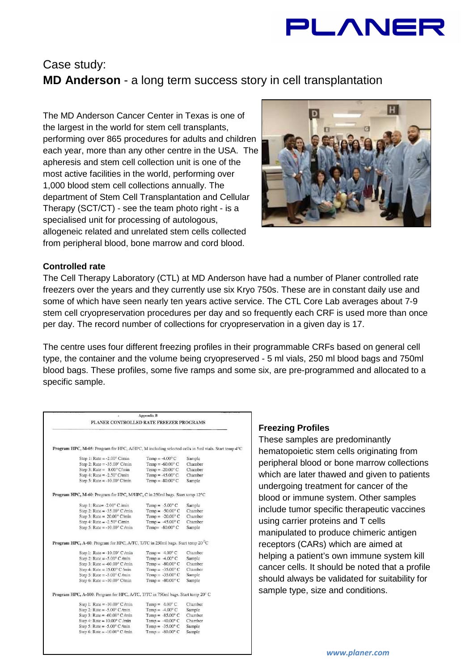

# Case study: **MD Anderson** - a long term success story in cell transplantation

The MD Anderson Cancer Center in Texas is one of the largest in the world for stem cell transplants, performing over 865 procedures for adults and children each year, more than any other centre in the USA. The apheresis and stem cell collection unit is one of the most active facilities in the world, performing over 1,000 blood stem cell collections annually. The department of Stem Cell Transplantation and Cellular Therapy (SCT/CT) - see the team photo right - is a specialised unit for processing of autologous, allogeneic related and unrelated stem cells collected from peripheral blood, bone marrow and cord blood.



## **Controlled rate**

The Cell Therapy Laboratory (CTL) at MD Anderson have had a number of Planer controlled rate freezers over the years and they currently use six Kryo 750s. These are in constant daily use and some of which have seen nearly ten years active service. The CTL Core Lab averages about 7-9 stem cell cryopreservation procedures per day and so frequently each CRF is used more than once per day. The record number of collections for cryopreservation in a given day is 17.

The centre uses four different freezing profiles in their programmable CRFs based on general cell type, the container and the volume being cryopreserved - 5 ml vials, 250 ml blood bags and 750ml blood bags. These profiles, some five ramps and some six, are pre-programmed and allocated to a specific sample.

| PLANER CONTROLLED RATE FREEZER PROGRAMS                                                            | <b>Appendix B</b>         |         |
|----------------------------------------------------------------------------------------------------|---------------------------|---------|
|                                                                                                    |                           |         |
| Program HPC, M-05: Program for HPC, A/HPC, M including selected cells in 5ml vials. Start temp 4°C |                           |         |
| Step 1: Rate = $-2.00^{\circ}$ C/min                                                               | Temp = $-4.00^{\circ}$ C  | Sample  |
| Step 2: Rate = $-35.00^{\circ}$ C/min                                                              | Temp = $-60.00^{\circ}$ C | Chamber |
| Step 3: Rate = $8.00^{\circ}$ C/min                                                                | Temp = $-20.00$ °C        | Chamber |
| Step 4: Rate = $-2.50^{\circ}$ C/min                                                               | Temp = $-45.00^{\circ}$ C | Chamber |
| Step 5: Rate = $-10.00^{\circ}$ C/min                                                              | Temp = $-80.00^{\circ}$ C | Sample  |
| Program HPC, M-60: Program for HPC, M/HPC, C in 250ml bags. Start temp 12°C                        |                           |         |
| Step 1: Rate= -2.00° C /min                                                                        | Temp = $-5.00^{\circ}$ C  | Sample  |
| Step 2: Rate = $-35.00^{\circ}$ C /min                                                             | Temp = $-50.00^{\circ}$ C | Chamber |
| Step 3: Rate = $20.00^{\circ}$ C/min                                                               | Temp = $-20.00^{\circ}$ C | Chamber |
| Step 4: Rate = $-2.50^{\circ}$ C/min                                                               | Temp = $-45.00^{\circ}$ C | Chamber |
| Step 5: Rate = $-10.00^{\circ}$ C /min                                                             | Temp= $-80.00^{\circ}$ C  | Sample  |
| Program HPC, A-60: Program for HPC, A/TC, T/TC in 250ml bags. Start temp 20 °C                     |                           |         |
| Step 1: Rate = $-10.00^{\circ}$ C /min                                                             | Temp = $4.00^{\circ}$ C   | Chamber |
| Step 2: Rate = $-5.00^{\circ}$ C/min                                                               | Temp = $-4.00^{\circ}$ C  | Sample  |
| Step 3: Rate = $-60.00$ ° C /min                                                                   | Temp = $-80.00^{\circ}$ C | Chamber |
| Step 4: Rate = $15.00^{\circ}$ C /min                                                              | Temp = $-35.00^{\circ}$ C | Chamber |
| Step 5: Rate = $-5.00^{\circ}$ C/min                                                               | Temp = $-35.00$ °C        | Sample  |
| Step 6: Rate = $-10.00^{\circ}$ C/min                                                              | Temp = $-80.00^{\circ}$ C | Sample  |
| Program HPC, A-100: Program for HPC, A/TC, T/TC in 750ml bags. Start temp 20° C                    |                           |         |
| Step I: Rate = $-10.00^{\circ}$ C/min                                                              | Temp = $4.00^{\circ}$ C   | Chamber |
|                                                                                                    | Temp = $-4.00^{\circ}$ C  | Sample  |
| Step 2: Rate = $-5.00^{\circ}$ C/min                                                               |                           |         |
| Step 3: Rate = $-60.00^{\circ}$ C /min                                                             | Temp = $-85.00^{\circ}$ C | Chamber |
| Step 4: Rate = $10.00^{\circ}$ C /min                                                              | Temp = $-40.00^{\circ}$ C | Chamber |
| Step 5: Rate = $-5.00^{\circ}$ C/min.                                                              | Temp = $-35.00^{\circ}$ C | Sample  |

## **Freezing Profiles**

These samples are predominantly hematopoietic stem cells originating from peripheral blood or bone marrow collections which are later thawed and given to patients undergoing treatment for cancer of the blood or immune system. Other samples include tumor specific therapeutic vaccines using carrier proteins and T cells manipulated to produce chimeric antigen receptors (CARs) which are aimed at helping a patient's own immune system kill cancer cells. It should be noted that a profile should always be validated for suitability for sample type, size and conditions.